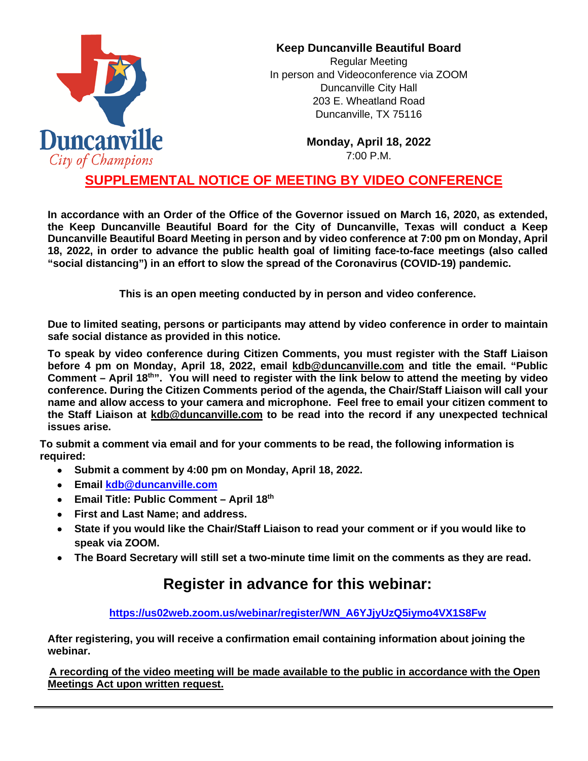

## **Keep Duncanville Beautiful Board**

Regular Meeting In person and Videoconference via ZOOM Duncanville City Hall 203 E. Wheatland Road Duncanville, TX 75116

> **Monday, April 18, 2022** 7:00 P.M.

## **SUPPLEMENTAL NOTICE OF MEETING BY VIDEO CONFERENCE**

**In accordance with an Order of the Office of the Governor issued on March 16, 2020, as extended, the Keep Duncanville Beautiful Board for the City of Duncanville, Texas will conduct a Keep Duncanville Beautiful Board Meeting in person and by video conference at 7:00 pm on Monday, April 18, 2022, in order to advance the public health goal of limiting face-to-face meetings (also called "social distancing") in an effort to slow the spread of the Coronavirus (COVID-19) pandemic.** 

**This is an open meeting conducted by in person and video conference.**

**Due to limited seating, persons or participants may attend by video conference in order to maintain safe social distance as provided in this notice.**

**To speak by video conference during Citizen Comments, you must register with the Staff Liaison before 4 pm on Monday, April 18, 2022, email kdb@duncanville.com and title the email. "Public Comment – April 18th". You will need to register with the link below to attend the meeting by video conference. During the Citizen Comments period of the agenda, the Chair/Staff Liaison will call your name and allow access to your camera and microphone. Feel free to email your citizen comment to the Staff Liaison at [kdb@duncanville.com](mailto:kdb@duncanville.com) to be read into the record if any unexpected technical issues arise.**

**To submit a comment via email and for your comments to be read, the following information is required:**

- **Submit a comment by 4:00 pm on Monday, April 18, 2022.**
- **Email [kdb@duncanville.com](mailto:kdb@duncanville.com)**
- **Email Title: Public Comment – April 18th**
- **First and Last Name; and address.**
- **State if you would like the Chair/Staff Liaison to read your comment or if you would like to speak via ZOOM.**
- **The Board Secretary will still set a two-minute time limit on the comments as they are read.**

## **Register in advance for this webinar:**

**[https://us02web.zoom.us/webinar/register/WN\\_A6YJjyUzQ5iymo4VX1S8Fw](https://us02web.zoom.us/webinar/register/WN_A6YJjyUzQ5iymo4VX1S8Fw)**

**After registering, you will receive a confirmation email containing information about joining the webinar.**

**A recording of the video meeting will be made available to the public in accordance with the Open Meetings Act upon written request.**